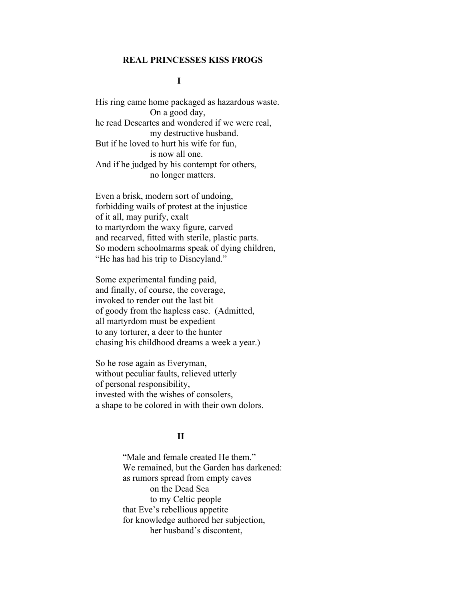#### REAL PRINCESSES KISS FROGS

### **I**

 His ring came home packaged as hazardous waste. On a good day, he read Descartes and wondered if we were real, my destructive husband. But if he loved to hurt his wife for fun, is now all one. And if he judged by his contempt for others, no longer matters.

 Even a brisk, modern sort of undoing, forbidding wails of protest at the injustice of it all, may purify, exalt to martyrdom the waxy figure, carved and recarved, fitted with sterile, plastic parts. So modern schoolmarms speak of dying children, "He has had his trip to Disneyland."

 Some experimental funding paid, and finally, of course, the coverage, invoked to render out the last bit of goody from the hapless case. (Admitted, all martyrdom must be expedient to any torturer, a deer to the hunter chasing his childhood dreams a week a year.)

 So he rose again as Everyman, without peculiar faults, relieved utterly of personal responsibility, invested with the wishes of consolers, a shape to be colored in with their own dolors.

## **II** and the set of the set of the set of the set of the set of the set of the set of the set of the set of the set of the set of the set of the set of the set of the set of the set of the set of the set of the set of the

 "Male and female created He them." We remained, but the Garden has darkened: as rumors spread from empty caves on the Dead Sea to my Celtic people that Eve's rebellious appetite for knowledge authored her subjection, her husband's discontent,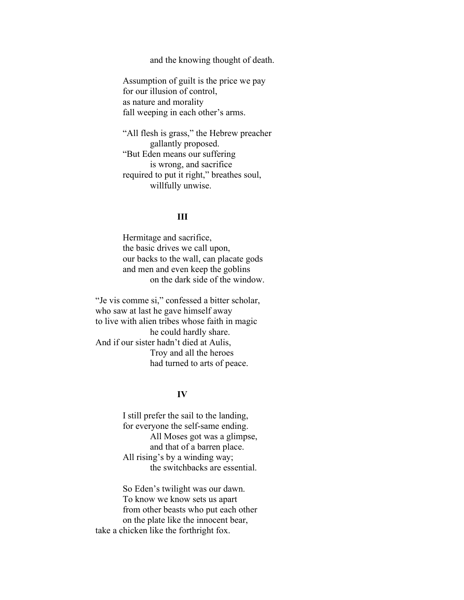and the knowing thought of death.

 Assumption of guilt is the price we pay for our illusion of control, as nature and morality fall weeping in each other's arms.

 "All flesh is grass," the Hebrew preacher gallantly proposed. "But Eden means our suffering is wrong, and sacrifice required to put it right," breathes soul, willfully unwise.

## <u>III</u>

 Hermitage and sacrifice, the basic drives we call upon, our backs to the wall, can placate gods and men and even keep the goblins on the dark side of the window.

 "Je vis comme si," confessed a bitter scholar, who saw at last he gave himself away to live with alien tribes whose faith in magic he could hardly share. And if our sister hadn't died at Aulis, Troy and all the heroes had turned to arts of peace.

### IV

 I still prefer the sail to the landing, for everyone the self-same ending. All Moses got was a glimpse, and that of a barren place. All rising's by a winding way; the switchbacks are essential.

 So Eden's twilight was our dawn. To know we know sets us apart from other beasts who put each other on the plate like the innocent bear, take a chicken like the forthright fox.